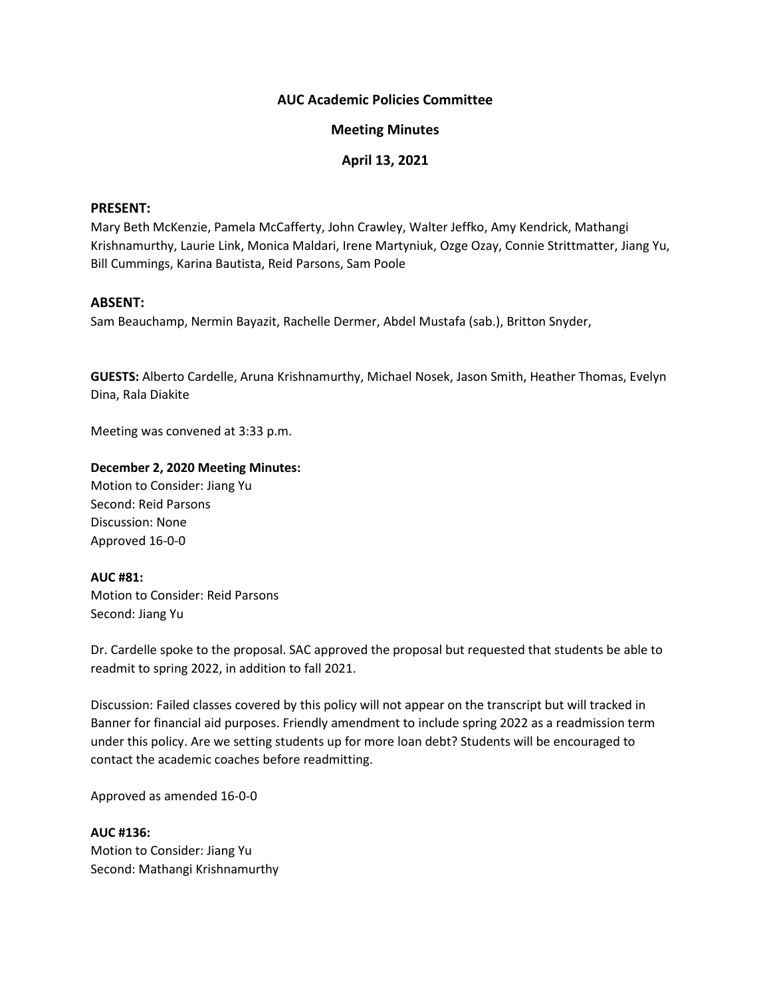## **AUC Academic Policies Committee**

## **Meeting Minutes**

# **April 13, 2021**

#### **PRESENT:**

Mary Beth McKenzie, Pamela McCafferty, John Crawley, Walter Jeffko, Amy Kendrick, Mathangi Krishnamurthy, Laurie Link, Monica Maldari, Irene Martyniuk, Ozge Ozay, Connie Strittmatter, Jiang Yu, Bill Cummings, Karina Bautista, Reid Parsons, Sam Poole

#### **ABSENT:**

Sam Beauchamp, Nermin Bayazit, Rachelle Dermer, Abdel Mustafa (sab.), Britton Snyder,

**GUESTS:** Alberto Cardelle, Aruna Krishnamurthy, Michael Nosek, Jason Smith, Heather Thomas, Evelyn Dina, Rala Diakite

Meeting was convened at 3:33 p.m.

### **December 2, 2020 Meeting Minutes:**

Motion to Consider: Jiang Yu Second: Reid Parsons Discussion: None Approved 16-0-0

#### **AUC #81:**

Motion to Consider: Reid Parsons Second: Jiang Yu

Dr. Cardelle spoke to the proposal. SAC approved the proposal but requested that students be able to readmit to spring 2022, in addition to fall 2021.

Discussion: Failed classes covered by this policy will not appear on the transcript but will tracked in Banner for financial aid purposes. Friendly amendment to include spring 2022 as a readmission term under this policy. Are we setting students up for more loan debt? Students will be encouraged to contact the academic coaches before readmitting.

Approved as amended 16-0-0

**AUC #136:** Motion to Consider: Jiang Yu Second: Mathangi Krishnamurthy